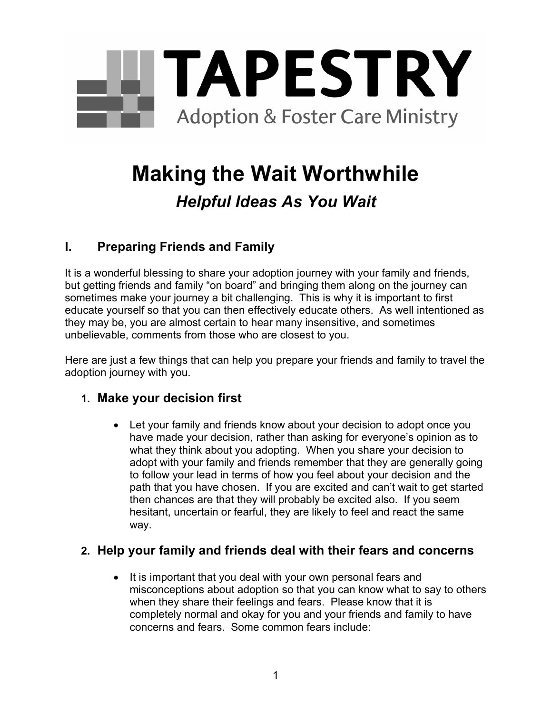

# **Making the Wait Worthwhile**

## *Helpful Ideas As You Wait*

## **I. Preparing Friends and Family**

It is a wonderful blessing to share your adoption journey with your family and friends, but getting friends and family "on board" and bringing them along on the journey can sometimes make your journey a bit challenging. This is why it is important to first educate yourself so that you can then effectively educate others. As well intentioned as they may be, you are almost certain to hear many insensitive, and sometimes unbelievable, comments from those who are closest to you.

Here are just a few things that can help you prepare your friends and family to travel the adoption journey with you.

### **1. Make your decision first**

 Let your family and friends know about your decision to adopt once you have made your decision, rather than asking for everyone's opinion as to what they think about you adopting. When you share your decision to adopt with your family and friends remember that they are generally going to follow your lead in terms of how you feel about your decision and the path that you have chosen. If you are excited and can't wait to get started then chances are that they will probably be excited also. If you seem hesitant, uncertain or fearful, they are likely to feel and react the same way.

### **2. Help your family and friends deal with their fears and concerns**

• It is important that you deal with your own personal fears and misconceptions about adoption so that you can know what to say to others when they share their feelings and fears. Please know that it is completely normal and okay for you and your friends and family to have concerns and fears. Some common fears include: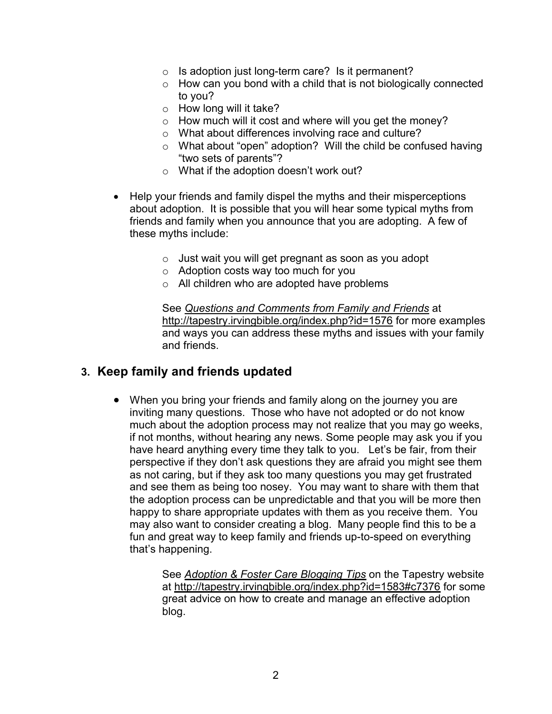- $\circ$  Is adoption just long-term care? Is it permanent?
- o How can you bond with a child that is not biologically connected to you?
- $\circ$  How long will it take?
- o How much will it cost and where will you get the money?
- o What about differences involving race and culture?
- o What about "open" adoption? Will the child be confused having "two sets of parents"?
- o What if the adoption doesn't work out?
- Help your friends and family dispel the myths and their misperceptions about adoption. It is possible that you will hear some typical myths from friends and family when you announce that you are adopting. A few of these myths include:
	- o Just wait you will get pregnant as soon as you adopt
	- o Adoption costs way too much for you
	- o All children who are adopted have problems

See *Questions and Comments from Family and Friends* at [h](http://tapestry.irvingbible.org/index.php?id=1576)[ttp://tapestry](http://tapestry)[.irvingbible.org/index.php?id=1576](http://tapestry.irvingbible.org/index.php?id=1576) for more examples and ways you can address these myths and issues with your family and friends.

#### **3. Keep family and friends updated**

 When you bring your friends and family along on the journey you are inviting many questions. Those who have not adopted or do not know much about the adoption process may not realize that you may go weeks, if not months, without hearing any news. Some people may ask you if you have heard anything every time they talk to you. Let's be fair, from their perspective if they don't ask questions they are afraid you might see them as not caring, but if they ask too many questions you may get frustrated and see them as being too nosey. You may want to share with them that the adoption process can be unpredictable and that you will be more then happy to share appropriate updates with them as you receive them. You may also want to consider creating a blog. Many people find this to be a fun and great way to keep family and friends up-to-speed on everything that's happening.

> See *Adoption & Foster Care Blogging Tips* on the Tapestry website at <http://tapestry>.irvingbible.org/index.php?id=1583#c7376 for some great advice on how to create and manage an effective adoption blog.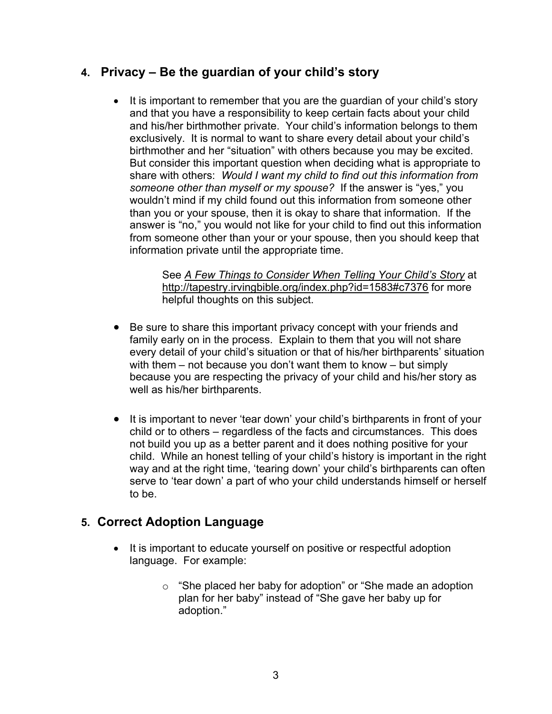#### **4. Privacy – Be the guardian of your child's story**

• It is important to remember that you are the guardian of your child's story and that you have a responsibility to keep certain facts about your child and his/her birthmother private. Your child's information belongs to them exclusively. It is normal to want to share every detail about your child's birthmother and her "situation" with others because you may be excited. But consider this important question when deciding what is appropriate to share with others: *Would I want my child to find out this information from someone other than myself or my spouse?* If the answer is "yes," you wouldn't mind if my child found out this information from someone other than you or your spouse, then it is okay to share that information. If the answer is "no," you would not like for your child to find out this information from someone other than your or your spouse, then you should keep that information private until the appropriate time.

> See *A Few Things to Consider When Telling Your Child's Story* at h[ttp://tapestry.](http://tapestry)irvingbible.org/index.php?id=1583#c7376 for more helpful thoughts on this subject.

- Be sure to share this important privacy concept with your friends and family early on in the process. Explain to them that you will not share every detail of your child's situation or that of his/her birthparents' situation with them – not because you don't want them to know – but simply because you are respecting the privacy of your child and his/her story as well as his/her birthparents.
- It is important to never 'tear down' your child's birthparents in front of your child or to others – regardless of the facts and circumstances. This does not build you up as a better parent and it does nothing positive for your child. While an honest telling of your child's history is important in the right way and at the right time, 'tearing down' your child's birthparents can often serve to 'tear down' a part of who your child understands himself or herself to be.

### **5. Correct Adoption Language**

- It is important to educate yourself on positive or respectful adoption language. For example:
	- o "She placed her baby for adoption" or "She made an adoption plan for her baby" instead of "She gave her baby up for adoption."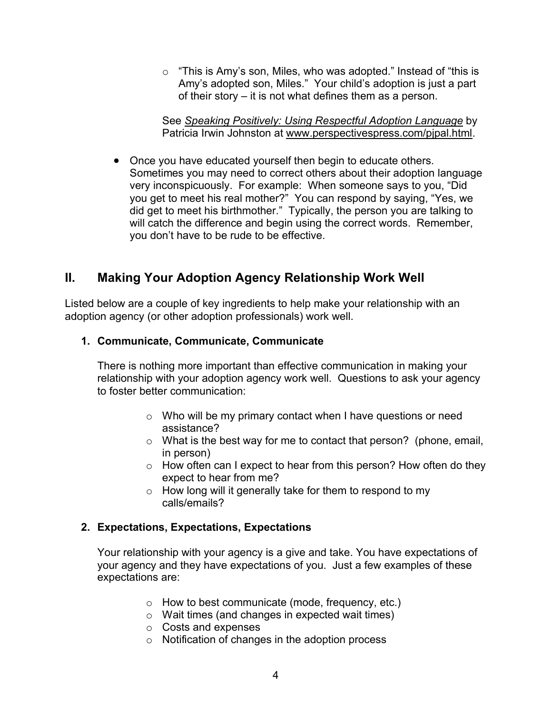o "This is Amy's son, Miles, who was adopted." Instead of "this is Amy's adopted son, Miles." Your child's adoption is just a part of their story – it is not what defines them as a person.

See *Speaking Positively: Using Respectful Adoption Language* by Patricia Irwin Johnston at [w](http://www.perspectivespress.com/pjpal.html)[ww.perspectivespress.com/pjpal.html](www.perspectivespress.com/pjpal.html).

• Once you have educated yourself then begin to educate others. Sometimes you may need to correct others about their adoption language very inconspicuously. For example: When someone says to you, "Did you get to meet his real mother?" You can respond by saying, "Yes, we did get to meet his birthmother." Typically, the person you are talking to will catch the difference and begin using the correct words. Remember, you don't have to be rude to be effective.

## **II. Making Your Adoption Agency Relationship Work Well**

Listed below are a couple of key ingredients to help make your relationship with an adoption agency (or other adoption professionals) work well.

#### **1. Communicate, Communicate, Communicate**

There is nothing more important than effective communication in making your relationship with your adoption agency work well. Questions to ask your agency to foster better communication:

- o Who will be my primary contact when I have questions or need assistance?
- o What is the best way for me to contact that person? (phone, email, in person)
- o How often can I expect to hear from this person? How often do they expect to hear from me?
- o How long will it generally take for them to respond to my calls/emails?

#### **2. Expectations, Expectations, Expectations**

Your relationship with your agency is a give and take. You have expectations of your agency and they have expectations of you. Just a few examples of these expectations are:

- o How to best communicate (mode, frequency, etc.)
- o Wait times (and changes in expected wait times)
- o Costs and expenses
- o Notification of changes in the adoption process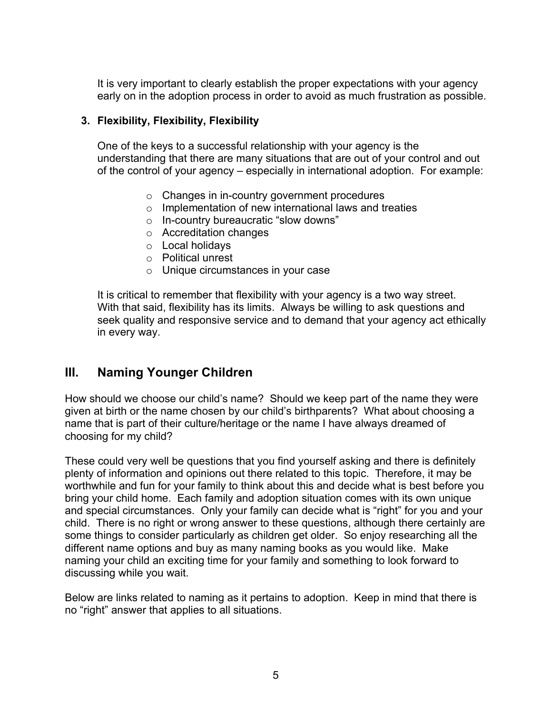It is very important to clearly establish the proper expectations with your agency early on in the adoption process in order to avoid as much frustration as possible.

#### **3. Flexibility, Flexibility, Flexibility**

One of the keys to a successful relationship with your agency is the understanding that there are many situations that are out of your control and out of the control of your agency – especially in international adoption. For example:

- o Changes in in-country government procedures
- o Implementation of new international laws and treaties
- o In-country bureaucratic "slow downs"
- o Accreditation changes
- o Local holidays
- o Political unrest
- o Unique circumstances in your case

It is critical to remember that flexibility with your agency is a two way street. With that said, flexibility has its limits. Always be willing to ask questions and seek quality and responsive service and to demand that your agency act ethically in every way.

### **III. Naming Younger Children**

How should we choose our child's name? Should we keep part of the name they were given at birth or the name chosen by our child's birthparents? What about choosing a name that is part of their culture/heritage or the name I have always dreamed of choosing for my child?

These could very well be questions that you find yourself asking and there is definitely plenty of information and opinions out there related to this topic. Therefore, it may be worthwhile and fun for your family to think about this and decide what is best before you bring your child home. Each family and adoption situation comes with its own unique and special circumstances. Only your family can decide what is "right" for you and your child. There is no right or wrong answer to these questions, although there certainly are some things to consider particularly as children get older. So enjoy researching all the different name options and buy as many naming books as you would like. Make naming your child an exciting time for your family and something to look forward to discussing while you wait.

Below are links related to naming as it pertains to adoption. Keep in mind that there is no "right" answer that applies to all situations.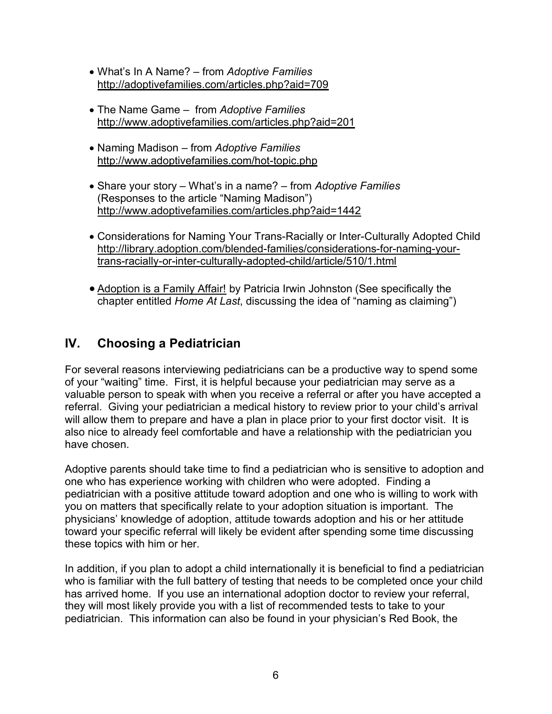- What's In A Name? from *Adoptive Families* [h](http://adoptivefamilies.com/articles.php?aid=709)[ttp://adopti](http://adopti)[vefamilies.com/articles.php?aid=709](http://adoptivefamilies.com/articles.php?aid=709)
- The Name Game from *Adoptive Families* h[ttp://ww](http://www)[w.adoptivefamilies.com/articles.php?aid=201](www.adoptivefamilies.com/articles.php?aid=201)
- Naming Madison from *Adoptive Families* [h](http://www.adoptivefamilies.com/hot-topic.php)[ttp://ww](http://www)[w.adoptivefamilies.com/hot](www.adoptivefamilies.com/hot)[-topic.php](http://www.adoptivefamilies.com/hot-topic.php)
- Share your story What's in a name? from *Adoptive Families*  (Responses to the article "Naming Madison") h[ttp://ww](http://www)[w.adoptivefamilies.com/articles.php?aid=1442](www.adoptivefamilies.com/articles.php?aid=1442)
- Considerations for Naming Your Trans-Racially or Inter-Culturally Adopted Child [h](http://library.adoption.com/blended-families/considerations-for-naming-your-trans-racially-or-inter-culturally-adopted-child/article/510/1.html)[ttp://library](http://library)[.adoption.com/blended-families/considerations-for-](http://library.adoption.com/blended-families/considerations-for-naming-your-trans-racially-or-inter-culturally-adopted-child/article/510/1.html)naming-yourtrans-racially-or-inter-culturally-adopted-child/article/510/1.html
- Adoption is a Family Affair! by Patricia Irwin Johnston (See specifically the chapter entitled *Home At Last*, discussing the idea of "naming as claiming")

## **IV. Choosing a Pediatrician**

For several reasons interviewing pediatricians can be a productive way to spend some of your "waiting" time. First, it is helpful because your pediatrician may serve as a valuable person to speak with when you receive a referral or after you have accepted a referral. Giving your pediatrician a medical history to review prior to your child's arrival will allow them to prepare and have a plan in place prior to your first doctor visit. It is also nice to already feel comfortable and have a relationship with the pediatrician you have chosen.

Adoptive parents should take time to find a pediatrician who is sensitive to adoption and one who has experience working with children who were adopted. Finding a pediatrician with a positive attitude toward adoption and one who is willing to work with you on matters that specifically relate to your adoption situation is important. The physicians' knowledge of adoption, attitude towards adoption and his or her attitude toward your specific referral will likely be evident after spending some time discussing these topics with him or her.

In addition, if you plan to adopt a child internationally it is beneficial to find a pediatrician who is familiar with the full battery of testing that needs to be completed once your child has arrived home. If you use an international adoption doctor to review your referral, they will most likely provide you with a list of recommended tests to take to your pediatrician. This information can also be found in your physician's Red Book, the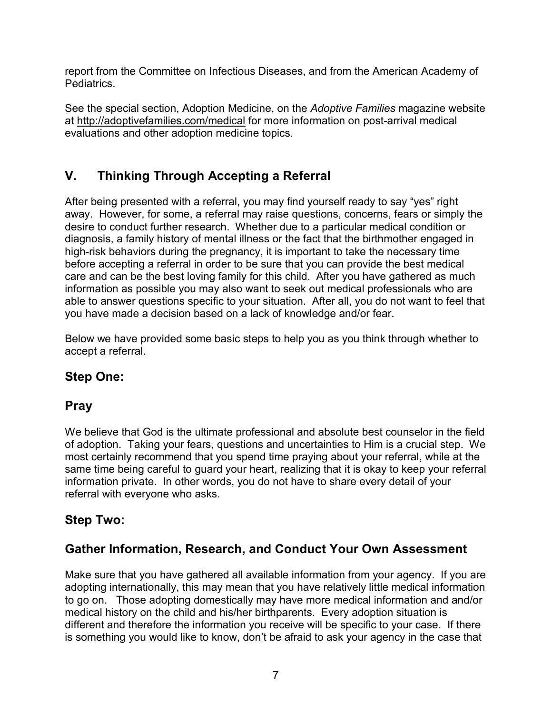report from the Committee on Infectious Diseases, and from the American Academy of Pediatrics.

See the special section, Adoption Medicine, on the *Adoptive Families* magazine website at <http://adopti>vefamilies.com/medical for more information on post-arrival medical evaluations and other adoption medicine topics.

## **V. Thinking Through Accepting a Referral**

After being presented with a referral, you may find yourself ready to say "yes" right away. However, for some, a referral may raise questions, concerns, fears or simply the desire to conduct further research. Whether due to a particular medical condition or diagnosis, a family history of mental illness or the fact that the birthmother engaged in high-risk behaviors during the pregnancy, it is important to take the necessary time before accepting a referral in order to be sure that you can provide the best medical care and can be the best loving family for this child. After you have gathered as much information as possible you may also want to seek out medical professionals who are able to answer questions specific to your situation. After all, you do not want to feel that you have made a decision based on a lack of knowledge and/or fear.

Below we have provided some basic steps to help you as you think through whether to accept a referral.

## **Step One:**

## **Pray**

We believe that God is the ultimate professional and absolute best counselor in the field of adoption. Taking your fears, questions and uncertainties to Him is a crucial step. We most certainly recommend that you spend time praying about your referral, while at the same time being careful to guard your heart, realizing that it is okay to keep your referral information private. In other words, you do not have to share every detail of your referral with everyone who asks.

## **Step Two:**

## **Gather Information, Research, and Conduct Your Own Assessment**

Make sure that you have gathered all available information from your agency. If you are adopting internationally, this may mean that you have relatively little medical information to go on. Those adopting domestically may have more medical information and and/or medical history on the child and his/her birthparents. Every adoption situation is different and therefore the information you receive will be specific to your case. If there is something you would like to know, don't be afraid to ask your agency in the case that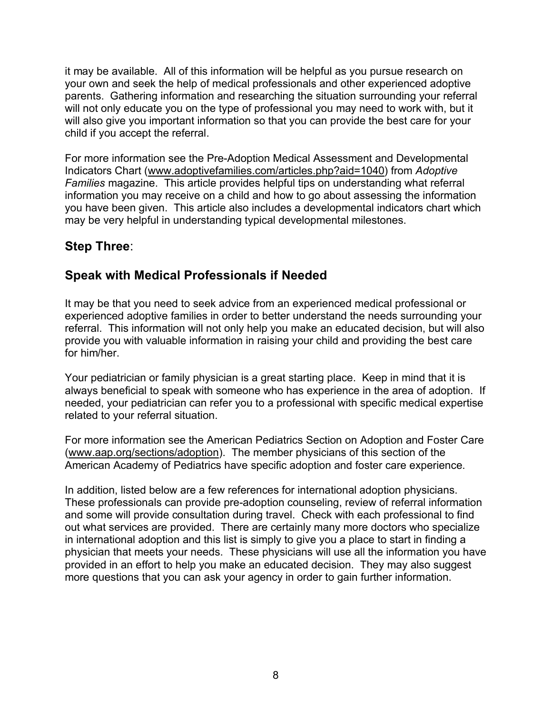it may be available. All of this information will be helpful as you pursue research on your own and seek the help of medical professionals and other experienced adoptive parents. Gathering information and researching the situation surrounding your referral will not only educate you on the type of professional you may need to work with, but it will also give you important information so that you can provide the best care for your child if you accept the referral.

For more information see the Pre-Adoption Medical Assessment and Developmental Indicators Chart (w[ww.adoptivefamilies.com/articles.](www.adoptivefamilies.com/articles)php?aid=1040) from *Adoptive Families* magazine. This article provides helpful tips on understanding what referral information you may receive on a child and how to go about assessing the information you have been given. This article also includes a developmental indicators chart which may be very helpful in understanding typical developmental milestones.

## **Step Three**:

## **Speak with Medical Professionals if Needed**

It may be that you need to seek advice from an experienced medical professional or experienced adoptive families in order to better understand the needs surrounding your referral. This information will not only help you make an educated decision, but will also provide you with valuable information in raising your child and providing the best care for him/her.

Your pediatrician or family physician is a great starting place. Keep in mind that it is always beneficial to speak with someone who has experience in the area of adoption. If needed, your pediatrician can refer you to a professional with specific medical expertise related to your referral situation.

For more information see the American Pediatrics Section on Adoption and Foster Care (w[ww.aap.org/sections/adoption\)](www.aap.org/sections/adoption). The member physicians of this section of the American Academy of Pediatrics have specific adoption and foster care experience.

In addition, listed below are a few references for international adoption physicians. These professionals can provide pre-adoption counseling, review of referral information and some will provide consultation during travel. Check with each professional to find out what services are provided. There are certainly many more doctors who specialize in international adoption and this list is simply to give you a place to start in finding a physician that meets your needs. These physicians will use all the information you have provided in an effort to help you make an educated decision. They may also suggest more questions that you can ask your agency in order to gain further information.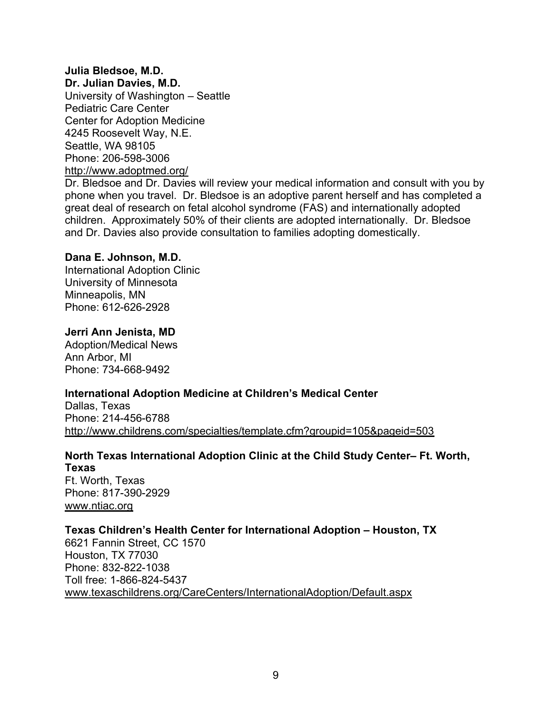#### **Julia Bledsoe, M.D.**

**Dr. Julian Davies, M.D.** University of Washington – Seattle Pediatric Care Center Center for Adoption Medicine 4245 Roosevelt Way, N.E. Seattle, WA 98105 Phone: 206-598-3006 h[ttp://ww](http://www)[w.adoptmed.org/](www.adoptmed.org/)

Dr. Bledsoe and Dr. Davies will review your medical information and consult with you by phone when you travel. Dr. Bledsoe is an adoptive parent herself and has completed a great deal of research on fetal alcohol syndrome (FAS) and internationally adopted children. Approximately 50% of their clients are adopted internationally. Dr. Bledsoe and Dr. Davies also provide consultation to families adopting domestically.

#### **Dana E. Johnson, M.D.**

International Adoption Clinic University of Minnesota Minneapolis, MN Phone: 612-626-2928

#### **Jerri Ann Jenista, MD**

Adoption/Medical News Ann Arbor, MI Phone: 734-668-9492

#### **International Adoption Medicine at Children's Medical Center**

Dallas, Texas Phone: 214-456-6788 [http://w](http://www.childrens.com/specialties/template.cfm?groupid=105&pageid=503)[ww.childrens.com/specialties/template.cfm?groupid=105&pageid=503](www.childrens.com/specialties/template.cfm?groupid=105&pageid=503)

#### **North Texas International Adoption Clinic at the Child Study Center– Ft. Worth, Texas**

Ft. Worth, Texas Phone: 817-390-2929 w[ww.ntiac.org](www.ntiac.org)

#### **Texas Children's Health Center for International Adoption – Houston, TX**

6621 Fannin Street, CC 1570 Houston, TX 77030 Phone: 832-822-1038 Toll free: 1-866-824-5437 w[ww.texaschildrens.org/CareCenters/InternationalAdoption/Default.aspx](www.texaschildrens.org/CareCenters/InternationalAdoption/Default.aspx)